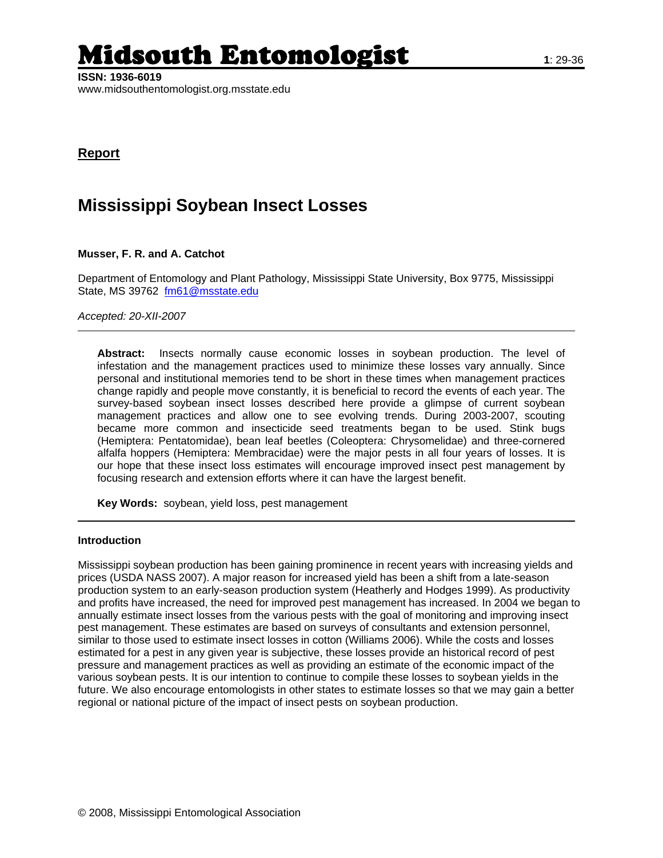# Midsouth Entomologist **1**: 29-36

**Report**

## **Mississippi Soybean Insect Losses**

#### **Musser, F. R. and A. Catchot**

Department of Entomology and Plant Pathology, Mississippi State University, Box 9775, Mississippi State, MS 39762 [fm61@msstate.edu](mailto:fm61@msstate.edu)

*Accepted: 20-XII-2007* 

**Abstract:** Insects normally cause economic losses in soybean production. The level of infestation and the management practices used to minimize these losses vary annually. Since personal and institutional memories tend to be short in these times when management practices change rapidly and people move constantly, it is beneficial to record the events of each year. The survey-based soybean insect losses described here provide a glimpse of current soybean management practices and allow one to see evolving trends. During 2003-2007, scouting became more common and insecticide seed treatments began to be used. Stink bugs (Hemiptera: Pentatomidae), bean leaf beetles (Coleoptera: Chrysomelidae) and three-cornered alfalfa hoppers (Hemiptera: Membracidae) were the major pests in all four years of losses. It is our hope that these insect loss estimates will encourage improved insect pest management by focusing research and extension efforts where it can have the largest benefit.

**Key Words:** soybean, yield loss, pest management

#### **Introduction**

Mississippi soybean production has been gaining prominence in recent years with increasing yields and prices (USDA NASS 2007). A major reason for increased yield has been a shift from a late-season production system to an early-season production system (Heatherly and Hodges 1999). As productivity and profits have increased, the need for improved pest management has increased. In 2004 we began to annually estimate insect losses from the various pests with the goal of monitoring and improving insect pest management. These estimates are based on surveys of consultants and extension personnel, similar to those used to estimate insect losses in cotton (Williams 2006). While the costs and losses estimated for a pest in any given year is subjective, these losses provide an historical record of pest pressure and management practices as well as providing an estimate of the economic impact of the various soybean pests. It is our intention to continue to compile these losses to soybean yields in the future. We also encourage entomologists in other states to estimate losses so that we may gain a better regional or national picture of the impact of insect pests on soybean production.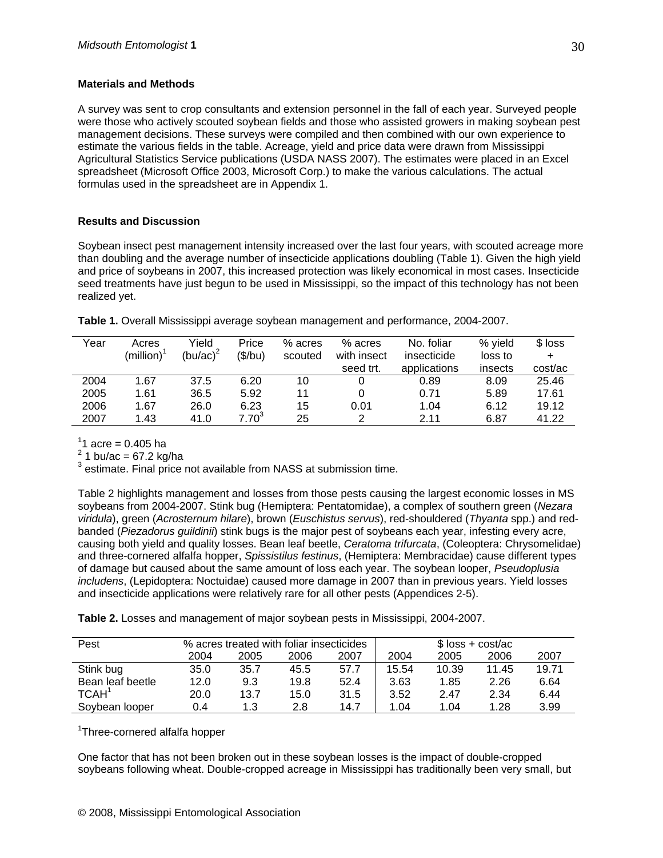### **Materials and Methods**

A survey was sent to crop consultants and extension personnel in the fall of each year. Surveyed people were those who actively scouted soybean fields and those who assisted growers in making soybean pest management decisions. These surveys were compiled and then combined with our own experience to estimate the various fields in the table. Acreage, yield and price data were drawn from Mississippi Agricultural Statistics Service publications (USDA NASS 2007). The estimates were placed in an Excel spreadsheet (Microsoft Office 2003, Microsoft Corp.) to make the various calculations. The actual formulas used in the spreadsheet are in Appendix 1.

### **Results and Discussion**

Soybean insect pest management intensity increased over the last four years, with scouted acreage more than doubling and the average number of insecticide applications doubling (Table 1). Given the high yield and price of soybeans in 2007, this increased protection was likely economical in most cases. Insecticide seed treatments have just begun to be used in Mississippi, so the impact of this technology has not been realized yet.

| Year | Acres          | Yield        | Price      | % acres | % acres     | No. foliar   | % yield | $$$ loss |
|------|----------------|--------------|------------|---------|-------------|--------------|---------|----------|
|      | (million) $^1$ | (bu/ac) $^2$ | (\$/bu)    | scouted | with insect | insecticide  | loss to |          |
|      |                |              |            |         | seed trt.   | applications | insects | cost/ac  |
| 2004 | 1.67           | 37.5         | 6.20       | 10      |             | 0.89         | 8.09    | 25.46    |
| 2005 | 1.61           | 36.5         | 5.92       | 11      |             | 0.71         | 5.89    | 17.61    |
| 2006 | 1.67           | 26.0         | 6.23       | 15      | 0.01        | 1.04         | 6.12    | 19.12    |
| 2007 | 1.43           | 41.0         | $7.70^{3}$ | 25      |             | 2.11         | 6.87    | 41.22    |

**Table 1.** Overall Mississippi average soybean management and performance, 2004-2007.

 $11$  acre = 0.405 ha

 $^{2}$  1 bu/ac = 67.2 kg/ha

 $3$  estimate. Final price not available from NASS at submission time.

Table 2 highlights management and losses from those pests causing the largest economic losses in MS soybeans from 2004-2007. Stink bug (Hemiptera: Pentatomidae), a complex of southern green (*Nezara viridula*), green (*Acrosternum hilare*), brown (*Euschistus servus*), red-shouldered (*Thyanta* spp.) and redbanded (*Piezadorus guildinii*) stink bugs is the major pest of soybeans each year, infesting every acre, causing both yield and quality losses. Bean leaf beetle, *Ceratoma trifurcata*, (Coleoptera: Chrysomelidae) and three-cornered alfalfa hopper, *Spissistilus festinus*, (Hemiptera: Membracidae) cause different types of damage but caused about the same amount of loss each year. The soybean looper, *Pseudoplusia includens*, (Lepidoptera: Noctuidae) caused more damage in 2007 than in previous years. Yield losses and insecticide applications were relatively rare for all other pests (Appendices 2-5).

**Table 2.** Losses and management of major soybean pests in Mississippi, 2004-2007.

| Pest              |      |      | % acres treated with foliar insecticides |      | $$$ loss + cost/ac |       |       |       |  |  |
|-------------------|------|------|------------------------------------------|------|--------------------|-------|-------|-------|--|--|
|                   | 2004 | 2005 | 2006                                     | 2007 | 2004               | 2005  | 2006  | 2007  |  |  |
| Stink bug         | 35.0 | 35.7 | 45.5                                     | 57.7 | 15.54              | 10.39 | 11.45 | 19.71 |  |  |
| Bean leaf beetle  | 12.0 | 9.3  | 19.8                                     | 52.4 | 3.63               | 1.85  | 2.26  | 6.64  |  |  |
| TCAH <sup>1</sup> | 20.0 | 13.7 | 15.0                                     | 31.5 | 3.52               | 2.47  | 2.34  | 6.44  |  |  |
| Sovbean looper    | 0.4  | 1.3  | 2.8                                      | 14.7 | 1.04               | 1.04  | 1.28  | 3.99  |  |  |

<sup>1</sup>Three-cornered alfalfa hopper

One factor that has not been broken out in these soybean losses is the impact of double-cropped soybeans following wheat. Double-cropped acreage in Mississippi has traditionally been very small, but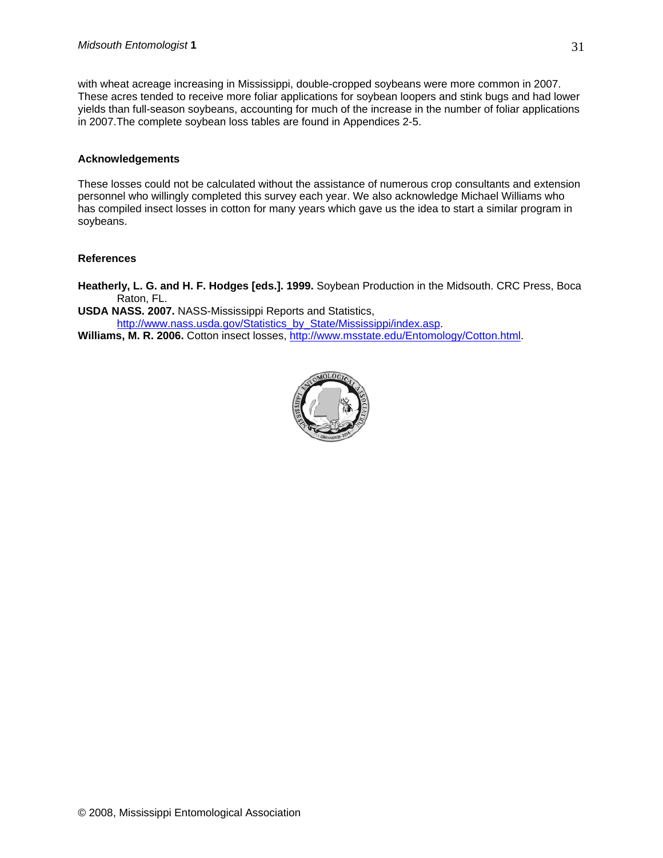with wheat acreage increasing in Mississippi, double-cropped soybeans were more common in 2007. These acres tended to receive more foliar applications for soybean loopers and stink bugs and had lower yields than full-season soybeans, accounting for much of the increase in the number of foliar applications in 2007.The complete soybean loss tables are found in Appendices 2-5.

#### **Acknowledgements**

These losses could not be calculated without the assistance of numerous crop consultants and extension personnel who willingly completed this survey each year. We also acknowledge Michael Williams who has compiled insect losses in cotton for many years which gave us the idea to start a similar program in soybeans.

#### **References**

**Heatherly, L. G. and H. F. Hodges [eds.]. 1999.** Soybean Production in the Midsouth. CRC Press, Boca Raton, FL.

**USDA NASS. 2007.** NASS-Mississippi Reports and Statistics, [http://www.nass.usda.gov/Statistics\\_by\\_State/Mississippi/index.asp.](http://www.nass.usda.gov/Statistics_by_State/Mississippi/index.asp) **Williams, M. R. 2006.** Cotton insect losses, <http://www.msstate.edu/Entomology/Cotton.html>.

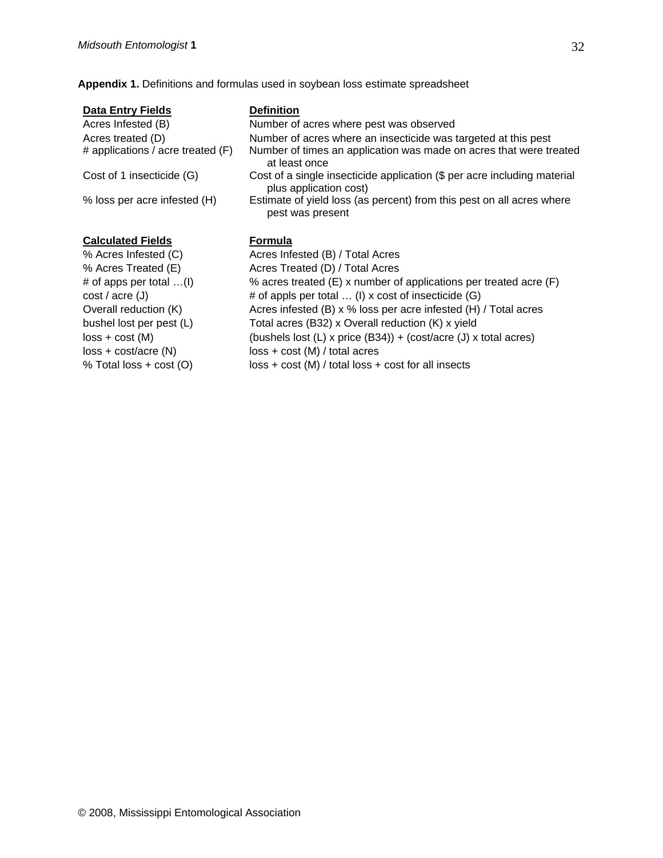**Appendix 1.** Definitions and formulas used in soybean loss estimate spreadsheet

| <b>Data Entry Fields</b>          | <b>Definition</b>                                                                                  |
|-----------------------------------|----------------------------------------------------------------------------------------------------|
| Acres Infested (B)                | Number of acres where pest was observed                                                            |
| Acres treated (D)                 | Number of acres where an insecticide was targeted at this pest                                     |
| # applications / acre treated (F) | Number of times an application was made on acres that were treated<br>at least once                |
| Cost of 1 insecticide (G)         | Cost of a single insecticide application (\$ per acre including material<br>plus application cost) |
| % loss per acre infested (H)      | Estimate of yield loss (as percent) from this pest on all acres where<br>pest was present          |
|                                   |                                                                                                    |
| <b>Calculated Fields</b>          | Formula                                                                                            |
| % Acres Infested (C)              | Acres Infested (B) / Total Acres                                                                   |
| % Acres Treated (E)               | Acres Treated (D) / Total Acres                                                                    |
| # of apps per total $\dots(l)$    | % acres treated (E) x number of applications per treated acre (F)                                  |
| cost / acre (J)                   | # of appls per total  (I) x cost of insecticide (G)                                                |
| Overall reduction (K)             | Acres infested $(B)$ x % loss per acre infested $(H)$ / Total acres                                |
| bushel lost per pest (L)          | Total acres (B32) x Overall reduction (K) x yield                                                  |
| $loss + cost (M)$                 | (bushels lost $(L)$ x price $(B34)$ ) + (cost/acre $(J)$ x total acres)                            |
| $loss + cost/acre (N)$            | $loss + cost (M) / total acres$                                                                    |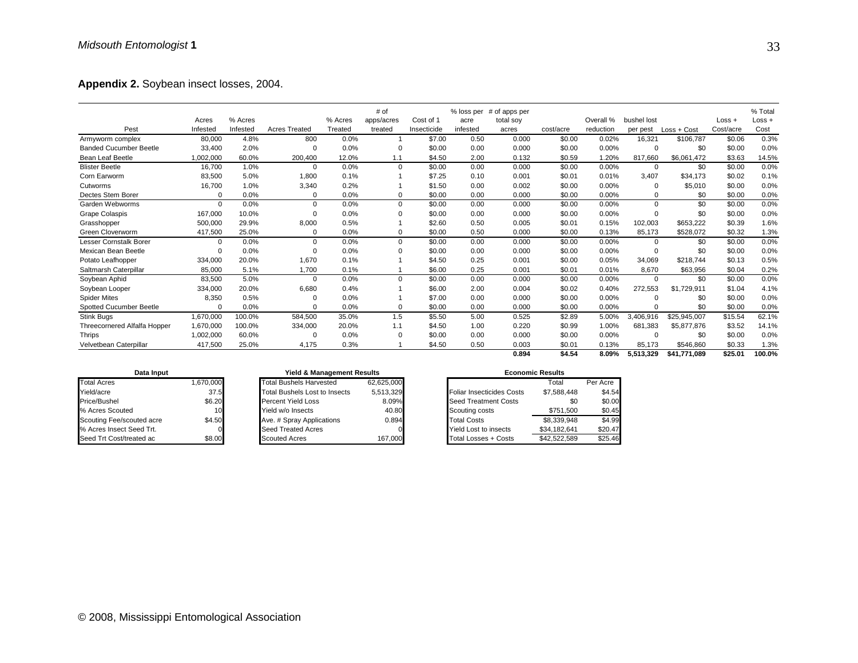**Appendix 2.** Soybean insect losses, 2004.

|                               |           |          |                      |         | # of        |             | % loss per | # of apps per |           |           |             |               |           | % Total  |
|-------------------------------|-----------|----------|----------------------|---------|-------------|-------------|------------|---------------|-----------|-----------|-------------|---------------|-----------|----------|
|                               | Acres     | % Acres  |                      | % Acres | apps/acres  | Cost of 1   | acre       | total soy     |           | Overall % | bushel lost |               | $Loss +$  | $Loss +$ |
| Pest                          | Infested  | Infested | <b>Acres Treated</b> | Treated | treated     | Insecticide | infested   | acres         | cost/acre | reduction | per pest    | $Loss + Cost$ | Cost/acre | Cost     |
| Armyworm complex              | 80,000    | 4.8%     | 800                  | 0.0%    | 1           | \$7.00      | 0.50       | 0.000         | \$0.00    | 0.02%     | 16,321      | \$106.787     | \$0.06    | 0.3%     |
| <b>Banded Cucumber Beetle</b> | 33.400    | 2.0%     | $\Omega$             | 0.0%    | $\Omega$    | \$0.00      | 0.00       | 0.000         | \$0.00    | 0.00%     | $\mathbf 0$ | \$0           | \$0.00    | 0.0%     |
| <b>Bean Leaf Beetle</b>       | 1,002,000 | 60.0%    | 200,400              | 12.0%   | 1.1         | \$4.50      | 2.00       | 0.132         | \$0.59    | 1.20%     | 817,660     | \$6,061,472   | \$3.63    | 14.5%    |
| <b>Blister Beetle</b>         | 16,700    | 1.0%     | $\Omega$             | 0.0%    | $\mathbf 0$ | \$0.00      | 0.00       | 0.000         | \$0.00    | 0.00%     | 0           | \$0           | \$0.00    | 0.0%     |
| Corn Earworm                  | 83,500    | 5.0%     | 1,800                | 0.1%    |             | \$7.25      | 0.10       | 0.001         | \$0.01    | 0.01%     | 3,407       | \$34.173      | \$0.02    | 0.1%     |
| Cutworms                      | 16,700    | 1.0%     | 3,340                | 0.2%    |             | \$1.50      | 0.00       | 0.002         | \$0.00    | 0.00%     | 0           | \$5,010       | \$0.00    | 0.0%     |
| Dectes Stem Borer             | $\Omega$  | 0.0%     | 0                    | 0.0%    | 0           | \$0.00      | 0.00       | 0.000         | \$0.00    | 0.00%     | $\Omega$    | \$0           | \$0.00    | 0.0%     |
| Garden Webworms               | $\Omega$  | 0.0%     | $\Omega$             | 0.0%    | 0           | \$0.00      | 0.00       | 0.000         | \$0.00    | 0.00%     | $\Omega$    | \$0           | \$0.00    | 0.0%     |
| <b>Grape Colaspis</b>         | 167,000   | 10.0%    | $\Omega$             | 0.0%    | 0           | \$0.00      | 0.00       | 0.000         | \$0.00    | 0.00%     | $\Omega$    | \$0           | \$0.00    | 0.0%     |
| Grasshopper                   | 500,000   | 29.9%    | 8,000                | 0.5%    |             | \$2.60      | 0.50       | 0.005         | \$0.01    | 0.15%     | 102,003     | \$653,222     | \$0.39    | 1.6%     |
| Green Cloverworm              | 417,500   | 25.0%    | 0                    | 0.0%    | 0           | \$0.00      | 0.50       | 0.000         | \$0.00    | 0.13%     | 85,173      | \$528,072     | \$0.32    | 1.3%     |
| Lesser Cornstalk Borer        | $\Omega$  | 0.0%     | $\Omega$             | 0.0%    | 0           | \$0.00      | 0.00       | 0.000         | \$0.00    | 0.00%     | $\Omega$    | \$0           | \$0.00    | 0.0%     |
| Mexican Bean Beetle           | $\Omega$  | 0.0%     | $\Omega$             | 0.0%    | 0           | \$0.00      | 0.00       | 0.000         | \$0.00    | 0.00%     | 0           | \$0           | \$0.00    | 0.0%     |
| Potato Leafhopper             | 334,000   | 20.0%    | 1,670                | 0.1%    |             | \$4.50      | 0.25       | 0.001         | \$0.00    | 0.05%     | 34,069      | \$218,744     | \$0.13    | 0.5%     |
| Saltmarsh Caterpillar         | 85,000    | 5.1%     | 1,700                | 0.1%    |             | \$6.00      | 0.25       | 0.001         | \$0.01    | 0.01%     | 8,670       | \$63,956      | \$0.04    | 0.2%     |
| Soybean Aphid                 | 83,500    | 5.0%     | $\Omega$             | 0.0%    | 0           | \$0.00      | 0.00       | 0.000         | \$0.00    | 0.00%     | $\mathbf 0$ | \$0           | \$0.00    | 0.0%     |
| Soybean Looper                | 334.000   | 20.0%    | 6,680                | 0.4%    |             | \$6.00      | 2.00       | 0.004         | \$0.02    | 0.40%     | 272,553     | \$1,729,911   | \$1.04    | 4.1%     |
| <b>Spider Mites</b>           | 8,350     | 0.5%     | 0                    | 0.0%    |             | \$7.00      | 0.00       | 0.000         | \$0.00    | 0.00%     | $\Omega$    | \$0           | \$0.00    | 0.0%     |
| Spotted Cucumber Beetle       | $\Omega$  | 0.0%     | $\Omega$             | 0.0%    | 0           | \$0.00      | 0.00       | 0.000         | \$0.00    | 0.00%     | $\Omega$    | \$0           | \$0.00    | 0.0%     |
| Stink Bugs                    | 1,670,000 | 100.0%   | 584,500              | 35.0%   | 1.5         | \$5.50      | 5.00       | 0.525         | \$2.89    | 5.00%     | 3.406.916   | \$25,945,007  | \$15.54   | 62.1%    |
| Threecornered Alfalfa Hopper  | 1,670,000 | 100.0%   | 334,000              | 20.0%   | 1.1         | \$4.50      | 1.00       | 0.220         | \$0.99    | 1.00%     | 681,383     | \$5,877,876   | \$3.52    | 14.1%    |
| Thrips                        | 1,002,000 | 60.0%    | $\Omega$             | 0.0%    | 0           | \$0.00      | 0.00       | 0.000         | \$0.00    | 0.00%     | 0           | \$0           | \$0.00    | 0.0%     |
| Velvetbean Caterpillar        | 417,500   | 25.0%    | 4,175                | 0.3%    |             | \$4.50      | 0.50       | 0.003         | \$0.01    | 0.13%     | 85,173      | \$546,860     | \$0.33    | 1.3%     |
|                               |           |          |                      |         |             |             |            | 0.894         | \$4.54    | 8.09%     | 5.513.329   | \$41.771.089  | \$25.01   | 100.0%   |

| Data Input                |           |  |  |  |  |  |  |  |  |
|---------------------------|-----------|--|--|--|--|--|--|--|--|
| <b>Total Acres</b>        | 1,670,000 |  |  |  |  |  |  |  |  |
| Yield/acre                | 37.5      |  |  |  |  |  |  |  |  |
| Price/Bushel              | \$6.20    |  |  |  |  |  |  |  |  |
| % Acres Scouted           | 10        |  |  |  |  |  |  |  |  |
| Scouting Fee/scouted acre | \$4.50    |  |  |  |  |  |  |  |  |
| % Acres Insect Seed Trt.  |           |  |  |  |  |  |  |  |  |
| Seed Trt Cost/treated ac  |           |  |  |  |  |  |  |  |  |

| Data Input     |                 | <b>Yield &amp; Management Results</b> |            | <b>Economic Results</b>   |              |          |  |  |  |
|----------------|-----------------|---------------------------------------|------------|---------------------------|--------------|----------|--|--|--|
|                | 1.670.000       | <b>Total Bushels Harvested</b>        | 62.625.000 |                           | Total        | Per Acre |  |  |  |
|                | 37.5            | <b>Total Bushels Lost to Insects</b>  | 5,513,329  | Foliar Insecticides Costs | \$7,588,448  | \$4.54   |  |  |  |
|                | \$6.20          | <b>Percent Yield Loss</b>             | 8.09%      | Seed Treatment Costs      | \$0          | \$0.00   |  |  |  |
| buted          | 10 <sub>1</sub> | Yield w/o Insects                     | 40.80      | Scouting costs            | \$751.500    | \$0.45   |  |  |  |
| e/scouted acre | \$4.50          | Ave. # Spray Applications             | 0.894      | <b>Total Costs</b>        | \$8.339.948  | \$4.99   |  |  |  |
| ect Seed Trt.  |                 | <b>Seed Treated Acres</b>             |            | Yield Lost to insects     | \$34.182.641 | \$20.47  |  |  |  |
| st/treated ac  | \$8.00          | <b>Scouted Acres</b>                  | 167,000    | Total Losses + Costs      | \$42,522,589 | \$25.46  |  |  |  |

| Data Input                |                 | Yield & Management Results           |            |                           | <b>Economic Results</b> |          |  |  |  |
|---------------------------|-----------------|--------------------------------------|------------|---------------------------|-------------------------|----------|--|--|--|
| <b>Total Acres</b>        | 1,670,000       | <b>Total Bushels Harvested</b>       | 62.625.000 |                           | Total                   | Per Acre |  |  |  |
| Yield/acre                | 37.5            | <b>Total Bushels Lost to Insects</b> | 5.513.329  | Foliar Insecticides Costs | \$7.588.448             | \$4.54   |  |  |  |
| Price/Bushel              | \$6.20          | <b>Percent Yield Loss</b>            | 8.09%      | Seed Treatment Costs      | \$0                     | \$0.00   |  |  |  |
| % Acres Scouted           | 10 <sup>1</sup> | Yield w/o Insects                    | 40.80      | Scouting costs            | \$751.500               | \$0.45   |  |  |  |
| Scouting Fee/scouted acre | \$4.50          | Ave. # Spray Applications            | 0.894      | <b>Total Costs</b>        | \$8.339.948             | \$4.99   |  |  |  |
| % Acres Insect Seed Trt.  |                 | Seed Treated Acres                   |            | Yield Lost to insects     | \$34.182.641            | \$20.47  |  |  |  |
| Seed Trt Cost/treated ac  | ¶∩∩ ג¢          | Scoutad Acres                        | 167.000    | Total Losses + Costs      | \$425258                | \$25.46  |  |  |  |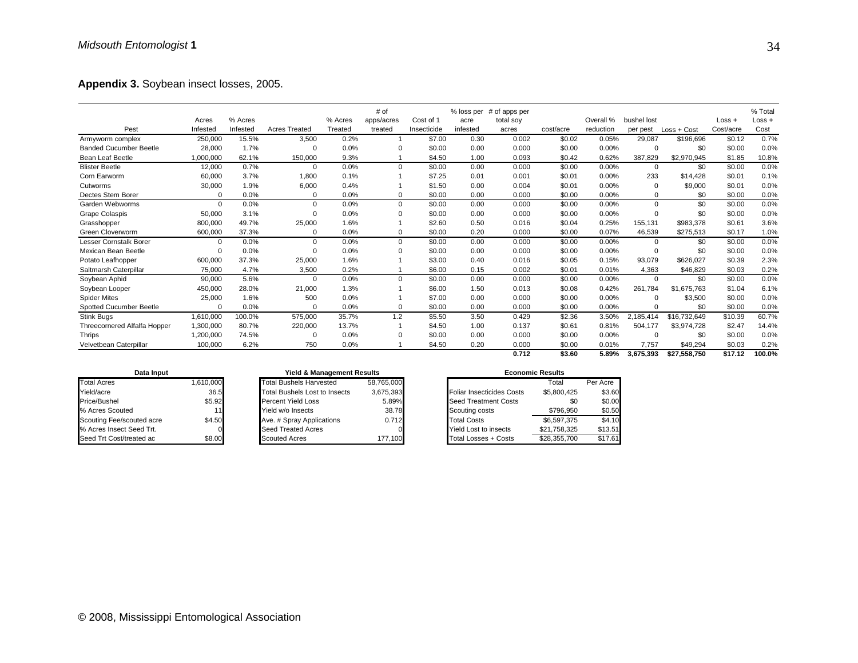**Appendix 3.** Soybean insect losses, 2005.

|                               |           |          |                      |         | # of           |             | % loss per | # of apps per |           |           |             |              |           | % Total  |
|-------------------------------|-----------|----------|----------------------|---------|----------------|-------------|------------|---------------|-----------|-----------|-------------|--------------|-----------|----------|
|                               | Acres     | % Acres  |                      | % Acres | apps/acres     | Cost of 1   | acre       | total soy     |           | Overall % | bushel lost |              | $Loss +$  | $Loss +$ |
| Pest                          | Infested  | Infested | <b>Acres Treated</b> | Treated | treated        | Insecticide | infested   | acres         | cost/acre | reduction | per pest    | Loss + Cost  | Cost/acre | Cost     |
| Armyworm complex              | 250,000   | 15.5%    | 3,500                | 0.2%    | $\overline{1}$ | \$7.00      | 0.30       | 0.002         | \$0.02    | 0.05%     | 29,087      | \$196,696    | \$0.12    | 0.7%     |
| <b>Banded Cucumber Beetle</b> | 28,000    | 1.7%     | $\Omega$             | 0.0%    | $\Omega$       | \$0.00      | 0.00       | 0.000         | \$0.00    | 0.00%     | $\Omega$    | \$0          | \$0.00    | 0.0%     |
| Bean Leaf Beetle              | 1,000,000 | 62.1%    | 150,000              | 9.3%    |                | \$4.50      | 1.00       | 0.093         | \$0.42    | 0.62%     | 387,829     | \$2,970,945  | \$1.85    | 10.8%    |
| <b>Blister Beetle</b>         | 12,000    | 0.7%     | $\Omega$             | 0.0%    | 0              | \$0.00      | 0.00       | 0.000         | \$0.00    | 0.00%     | $\mathbf 0$ | \$0          | \$0.00    | 0.0%     |
| Corn Earworm                  | 60,000    | 3.7%     | 1,800                | 0.1%    |                | \$7.25      | 0.01       | 0.001         | \$0.01    | 0.00%     | 233         | \$14,428     | \$0.01    | 0.1%     |
| Cutworms                      | 30,000    | 1.9%     | 6,000                | 0.4%    |                | \$1.50      | 0.00       | 0.004         | \$0.01    | 0.00%     | 0           | \$9,000      | \$0.01    | 0.0%     |
| Dectes Stem Borer             | $\Omega$  | 0.0%     | $\Omega$             | 0.0%    | 0              | \$0.00      | 0.00       | 0.000         | \$0.00    | 0.00%     | $\Omega$    | \$0          | \$0.00    | 0.0%     |
| Garden Webworms               | $\Omega$  | 0.0%     | $\Omega$             | 0.0%    | 0              | \$0.00      | 0.00       | 0.000         | \$0.00    | 0.00%     | $\Omega$    | \$0          | \$0.00    | 0.0%     |
| <b>Grape Colaspis</b>         | 50,000    | 3.1%     | $\Omega$             | 0.0%    | 0              | \$0.00      | 0.00       | 0.000         | \$0.00    | 0.00%     | $\Omega$    | \$0          | \$0.00    | 0.0%     |
| Grasshopper                   | 800,000   | 49.7%    | 25,000               | 1.6%    |                | \$2.60      | 0.50       | 0.016         | \$0.04    | 0.25%     | 155.131     | \$983.378    | \$0.61    | 3.6%     |
| Green Cloverworm              | 600,000   | 37.3%    | 0                    | 0.0%    | 0              | \$0.00      | 0.20       | 0.000         | \$0.00    | 0.07%     | 46,539      | \$275,513    | \$0.17    | 1.0%     |
| Lesser Cornstalk Borer        | $\Omega$  | 0.0%     | $\Omega$             | 0.0%    | 0              | \$0.00      | 0.00       | 0.000         | \$0.00    | 0.00%     | $\mathbf 0$ | \$0          | \$0.00    | 0.0%     |
| Mexican Bean Beetle           | $\Omega$  | 0.0%     | $\Omega$             | 0.0%    | 0              | \$0.00      | 0.00       | 0.000         | \$0.00    | 0.00%     | 0           | \$0          | \$0.00    | 0.0%     |
| Potato Leafhopper             | 600,000   | 37.3%    | 25,000               | 1.6%    |                | \$3.00      | 0.40       | 0.016         | \$0.05    | 0.15%     | 93.079      | \$626,027    | \$0.39    | 2.3%     |
| Saltmarsh Caterpillar         | 75,000    | 4.7%     | 3,500                | 0.2%    |                | \$6.00      | 0.15       | 0.002         | \$0.01    | 0.01%     | 4,363       | \$46,829     | \$0.03    | 0.2%     |
| Soybean Aphid                 | 90,000    | 5.6%     | $\Omega$             | 0.0%    | $\Omega$       | \$0.00      | 0.00       | 0.000         | \$0.00    | 0.00%     | $\mathbf 0$ | \$0          | \$0.00    | 0.0%     |
| Soybean Looper                | 450,000   | 28.0%    | 21,000               | 1.3%    |                | \$6.00      | 1.50       | 0.013         | \$0.08    | 0.42%     | 261,784     | \$1.675.763  | \$1.04    | 6.1%     |
| <b>Spider Mites</b>           | 25,000    | 1.6%     | 500                  | 0.0%    |                | \$7.00      | 0.00       | 0.000         | \$0.00    | 0.00%     | $\Omega$    | \$3,500      | \$0.00    | 0.0%     |
| Spotted Cucumber Beetle       | $\Omega$  | 0.0%     | $\Omega$             | 0.0%    | 0              | \$0.00      | 0.00       | 0.000         | \$0.00    | 0.00%     | $\Omega$    | \$0          | \$0.00    | 0.0%     |
| Stink Bugs                    | 1,610,000 | 100.0%   | 575,000              | 35.7%   | 1.2            | \$5.50      | 3.50       | 0.429         | \$2.36    | 3.50%     | 2.185.414   | \$16,732,649 | \$10.39   | 60.7%    |
| Threecornered Alfalfa Hopper  | 1,300,000 | 80.7%    | 220,000              | 13.7%   | 1              | \$4.50      | 1.00       | 0.137         | \$0.61    | 0.81%     | 504,177     | \$3,974,728  | \$2.47    | 14.4%    |
| Thrips                        | 1,200,000 | 74.5%    | $\Omega$             | 0.0%    | $\Omega$       | \$0.00      | 0.00       | 0.000         | \$0.00    | 0.00%     | 0           | \$0          | \$0.00    | 0.0%     |
| Velvetbean Caterpillar        | 100,000   | 6.2%     | 750                  | 0.0%    |                | \$4.50      | 0.20       | 0.000         | \$0.00    | 0.01%     | 7.757       | \$49,294     | \$0.03    | 0.2%     |
|                               |           |          |                      |         |                |             |            | 0.712         | \$3.60    | 5.89%     | 3,675,393   | \$27,558,750 | \$17.12   | 100.0%   |

| Data Input                |           |  |  |  |  |  |  |  |  |
|---------------------------|-----------|--|--|--|--|--|--|--|--|
| <b>Total Acres</b>        | 1,610,000 |  |  |  |  |  |  |  |  |
| Yield/acre                | 36.5      |  |  |  |  |  |  |  |  |
| Price/Bushel              | \$5.92    |  |  |  |  |  |  |  |  |
| % Acres Scouted           | 11        |  |  |  |  |  |  |  |  |
| Scouting Fee/scouted acre | \$4.50    |  |  |  |  |  |  |  |  |
| % Acres Insect Seed Trt.  |           |  |  |  |  |  |  |  |  |
| Seed Trt Cost/treated ac  |           |  |  |  |  |  |  |  |  |

| Data Input     |          | <b>Yield &amp; Management Results</b> | <b>Economic Results</b> |                                  |          |  |  |
|----------------|----------|---------------------------------------|-------------------------|----------------------------------|----------|--|--|
|                | .610.000 | <b>Total Bushels Harvested</b>        | 58.765.000              |                                  | Total    |  |  |
|                | 36.5     | <b>Total Bushels Lost to Insects</b>  | 3.675.393               | <b>Foliar Insecticides Costs</b> | \$5,800  |  |  |
|                | \$5.92   | <b>Percent Yield Loss</b>             | 5.89%                   | <b>Seed Treatment Costs</b>      |          |  |  |
| batuc          |          | Yield w/o Insects                     | 38.78                   | Scouting costs                   | \$796    |  |  |
| e/scouted acre | \$4.50   | Ave. # Spray Applications             | 0.712                   | <b>Total Costs</b>               | \$6.597  |  |  |
| ect Seed Trt.  |          | <b>Seed Treated Acres</b>             |                         | Yield Lost to insects            | \$21.758 |  |  |
| st/treated ac  | \$8.00   | <b>Scouted Acres</b>                  | 177.100                 | <b>Total Losses + Costs</b>      | \$28,355 |  |  |

| Data Input                |          | <b>Yield &amp; Management Results</b> |            |                           | <b>Economic Results</b> |          |  |  |  |
|---------------------------|----------|---------------------------------------|------------|---------------------------|-------------------------|----------|--|--|--|
| <b>Total Acres</b>        | .610.000 | <b>Total Bushels Harvested</b>        | 58.765.000 |                           | Гоtal                   | Per Acre |  |  |  |
| Yield/acre                | 36.5     | <b>Total Bushels Lost to Insects</b>  | 3,675,393  | Foliar Insecticides Costs | \$5,800,425             | \$3.60   |  |  |  |
| Price/Bushel              | \$5.92   | <b>Percent Yield Loss</b>             | 5.89%      | Seed Treatment Costs      | \$0                     | \$0.00   |  |  |  |
| % Acres Scouted           |          | Yield w/o Insects                     | 38.78      | Scouting costs            | \$796.950               | \$0.50   |  |  |  |
| Scouting Fee/scouted acre | \$4.50   | Ave. # Spray Applications             | 0.712      | <b>Total Costs</b>        | \$6,597,375             | \$4.10   |  |  |  |
| % Acres Insect Seed Trt.  | $\Omega$ | Seed Treated Acres                    |            | Yield Lost to insects     | \$21.758.325            | \$13.51  |  |  |  |
| Seed Trt Cost/treated ac  | \$8.00   | <b>Scouted Acres</b>                  | 177.100    | Total Losses + Costs      | \$28,355,700            | \$17.61  |  |  |  |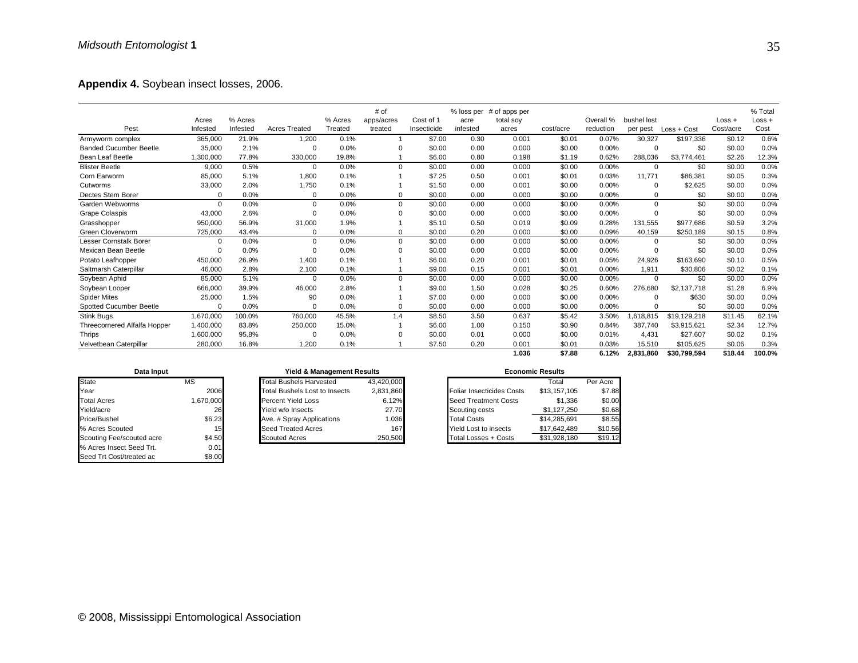**Appendix 4.** Soybean insect losses, 2006.

|                               |           |          |                      |         | # of       |             | % loss per | # of apps per |           |           |             |              |           | % Total  |
|-------------------------------|-----------|----------|----------------------|---------|------------|-------------|------------|---------------|-----------|-----------|-------------|--------------|-----------|----------|
|                               | Acres     | % Acres  |                      | % Acres | apps/acres | Cost of 1   | acre       | total soy     |           | Overall % | bushel lost |              | $Loss +$  | $Loss +$ |
| Pest                          | Infested  | Infested | <b>Acres Treated</b> | Treated | treated    | Insecticide | infested   | acres         | cost/acre | reduction | per pest    | Loss + Cost  | Cost/acre | Cost     |
| Armyworm complex              | 365,000   | 21.9%    | 1,200                | 0.1%    |            | \$7.00      | 0.30       | 0.001         | \$0.01    | 0.07%     | 30,327      | \$197,336    | \$0.12    | 0.6%     |
| <b>Banded Cucumber Beetle</b> | 35,000    | 2.1%     | $\Omega$             | 0.0%    | $\Omega$   | \$0.00      | 0.00       | 0.000         | \$0.00    | 0.00%     | 0           | \$0          | \$0.00    | 0.0%     |
| Bean Leaf Beetle              | ,300,000  | 77.8%    | 330,000              | 19.8%   |            | \$6.00      | 0.80       | 0.198         | \$1.19    | 0.62%     | 288,036     | \$3,774,461  | \$2.26    | 12.3%    |
| <b>Blister Beetle</b>         | 9,000     | 0.5%     | 0                    | 0.0%    | $\Omega$   | \$0.00      | 0.00       | 0.000         | \$0.00    | 0.00%     | $\mathbf 0$ | \$0          | \$0.00    | 0.0%     |
| Corn Earworm                  | 85,000    | 5.1%     | 1,800                | 0.1%    |            | \$7.25      | 0.50       | 0.001         | \$0.01    | 0.03%     | 11,771      | \$86,381     | \$0.05    | 0.3%     |
| Cutworms                      | 33,000    | 2.0%     | 1,750                | 0.1%    |            | \$1.50      | 0.00       | 0.001         | \$0.00    | 0.00%     | 0           | \$2,625      | \$0.00    | 0.0%     |
| Dectes Stem Borer             | $\Omega$  | 0.0%     | 0                    | 0.0%    | 0          | \$0.00      | 0.00       | 0.000         | \$0.00    | 0.00%     | $\Omega$    | \$0          | \$0.00    | 0.0%     |
| Garden Webworms               | $\Omega$  | 0.0%     | $\Omega$             | 0.0%    | $\Omega$   | \$0.00      | 0.00       | 0.000         | \$0.00    | 0.00%     | $\Omega$    | \$0          | \$0.00    | 0.0%     |
| <b>Grape Colaspis</b>         | 43,000    | 2.6%     | $\Omega$             | 0.0%    | $\Omega$   | \$0.00      | 0.00       | 0.000         | \$0.00    | 0.00%     | $\mathbf 0$ | \$0          | \$0.00    | 0.0%     |
| Grasshopper                   | 950,000   | 56.9%    | 31,000               | 1.9%    |            | \$5.10      | 0.50       | 0.019         | \$0.09    | 0.28%     | 131,555     | \$977,686    | \$0.59    | 3.2%     |
| Green Cloverworm              | 725,000   | 43.4%    | 0                    | 0.0%    | $\Omega$   | \$0.00      | 0.20       | 0.000         | \$0.00    | 0.09%     | 40,159      | \$250,189    | \$0.15    | 0.8%     |
| Lesser Cornstalk Borer        | $\Omega$  | 0.0%     | $\Omega$             | 0.0%    | 0          | \$0.00      | 0.00       | 0.000         | \$0.00    | 0.00%     | $\Omega$    | \$0          | \$0.00    | 0.0%     |
| Mexican Bean Beetle           | $\Omega$  | 0.0%     | 0                    | 0.0%    | $\Omega$   | \$0.00      | 0.00       | 0.000         | \$0.00    | 0.00%     | $\mathbf 0$ | \$0          | \$0.00    | 0.0%     |
| Potato Leafhopper             | 450,000   | 26.9%    | 1,400                | 0.1%    |            | \$6.00      | 0.20       | 0.001         | \$0.01    | 0.05%     | 24,926      | \$163,690    | \$0.10    | 0.5%     |
| Saltmarsh Caterpillar         | 46,000    | 2.8%     | 2,100                | 0.1%    |            | \$9.00      | 0.15       | 0.001         | \$0.01    | 0.00%     | 1,911       | \$30,806     | \$0.02    | 0.1%     |
| Soybean Aphid                 | 85,000    | 5.1%     | 0                    | 0.0%    | $\Omega$   | \$0.00      | 0.00       | 0.000         | \$0.00    | 0.00%     | 0           | \$0          | \$0.00    | 0.0%     |
| Soybean Looper                | 666,000   | 39.9%    | 46,000               | 2.8%    |            | \$9.00      | 1.50       | 0.028         | \$0.25    | 0.60%     | 276,680     | \$2,137,718  | \$1.28    | 6.9%     |
| <b>Spider Mites</b>           | 25,000    | 1.5%     | 90                   | 0.0%    |            | \$7.00      | 0.00       | 0.000         | \$0.00    | 0.00%     | $\Omega$    | \$630        | \$0.00    | 0.0%     |
| Spotted Cucumber Beetle       | $\Omega$  | 0.0%     | $\Omega$             | 0.0%    | $\Omega$   | \$0.00      | 0.00       | 0.000         | \$0.00    | 0.00%     | $\Omega$    | \$0          | \$0.00    | 0.0%     |
| Stink Bugs                    | 1,670,000 | 100.0%   | 760,000              | 45.5%   | 1.4        | \$8.50      | 3.50       | 0.637         | \$5.42    | 3.50%     | 1,618,815   | \$19,129,218 | \$11.45   | 62.1%    |
| Threecornered Alfalfa Hopper  | 1,400,000 | 83.8%    | 250,000              | 15.0%   |            | \$6.00      | 1.00       | 0.150         | \$0.90    | 0.84%     | 387,740     | \$3,915,621  | \$2.34    | 12.7%    |
| Thrips                        | 1,600,000 | 95.8%    | 0                    | 0.0%    | $\Omega$   | \$0.00      | 0.01       | 0.000         | \$0.00    | 0.01%     | 4,431       | \$27,607     | \$0.02    | 0.1%     |
| Velvetbean Caterpillar        | 280,000   | 16.8%    | 1,200                | 0.1%    |            | \$7.50      | 0.20       | 0.001         | \$0.01    | 0.03%     | 15,510      | \$105,625    | \$0.06    | 0.3%     |
|                               |           |          |                      |         |            |             |            | 1.036         | \$7.88    | 6.12%     | 2.831.860   | \$30.799.594 | \$18.44   | 100.0%   |

| Data Input                |           |  |  |  |  |  |
|---------------------------|-----------|--|--|--|--|--|
| <b>State</b>              | ΜS        |  |  |  |  |  |
| Year                      | 2006      |  |  |  |  |  |
| <b>Total Acres</b>        | 1,670,000 |  |  |  |  |  |
| Yield/acre                | 26        |  |  |  |  |  |
| Price/Bushel              | \$6.23    |  |  |  |  |  |
| % Acres Scouted           | 15        |  |  |  |  |  |
| Scouting Fee/scouted acre | \$4.50    |  |  |  |  |  |
| % Acres Insect Seed Trt.  | 0.01      |  |  |  |  |  |
| Seed Trt Cost/treated ac  | \$8.00    |  |  |  |  |  |

| Data Input |           |                                | <b>Yield &amp; Management Results</b> |  |                                  |          |  |  |
|------------|-----------|--------------------------------|---------------------------------------|--|----------------------------------|----------|--|--|
| MS         |           | <b>Total Bushels Harvested</b> | 43,420,000                            |  | Total                            |          |  |  |
|            | 2006      | Total Bushels Lost to Insects  | 2,831,860                             |  | <b>Foliar Insecticides Costs</b> | \$13,157 |  |  |
|            | 1,670,000 | <b>Percent Yield Loss</b>      | 6.12%                                 |  | <b>Seed Treatment Costs</b>      | \$1      |  |  |
|            | 26        | Yield w/o Insects              | 27.70                                 |  | Scouting costs                   | \$1.127  |  |  |
|            | \$6.23    | Ave. # Spray Applications      | 1.036                                 |  | <b>Total Costs</b>               | \$14,285 |  |  |
|            | 15        | <b>Seed Treated Acres</b>      | 167                                   |  | <b>Yield Lost to insects</b>     | \$17.642 |  |  |
| uted acre  | \$4.50    | <b>Scouted Acres</b>           | 250.500                               |  | <b>Total Losses + Costs</b>      | \$31.928 |  |  |

| <b>Economic Results</b> |  |  |
|-------------------------|--|--|
|                         |  |  |

| ---------                 |                                |                                                               |                                  |                                                      |          |  |  |  |
|---------------------------|--------------------------------|---------------------------------------------------------------|----------------------------------|------------------------------------------------------|----------|--|--|--|
| MS                        | <b>Total Bushels Harvested</b> |                                                               |                                  | Total                                                | Per Acre |  |  |  |
|                           | Total Bushels Lost to Insects  |                                                               | <b>Foliar Insecticides Costs</b> | \$13.157.105                                         | \$7.88   |  |  |  |
|                           | <b>Percent Yield Loss</b>      | 6.12%                                                         | <b>Seed Treatment Costs</b>      | \$1.336                                              | \$0.00   |  |  |  |
|                           | Yield w/o Insects              |                                                               | Scouting costs                   | \$1.127.250                                          | \$0.68   |  |  |  |
|                           | Ave. # Spray Applications      |                                                               | <b>Total Costs</b>               | \$14.285.691                                         | \$8.55   |  |  |  |
| % Acres Scouted           | Seed Treated Acres             | 167                                                           | Yield Lost to insects            | \$17.642.489                                         | \$10.56  |  |  |  |
| Scouting Fee/scouted acre | <b>Scouted Acres</b>           |                                                               | Total Losses + Costs             | \$31.928.180                                         | \$19.12  |  |  |  |
|                           |                                | 2006<br>,670,000<br>26<br>\$6.23<br>15 <sub>l</sub><br>\$4.50 |                                  | 43.420.000<br>2,831,860<br>27.70<br>1.036<br>250,500 |          |  |  |  |